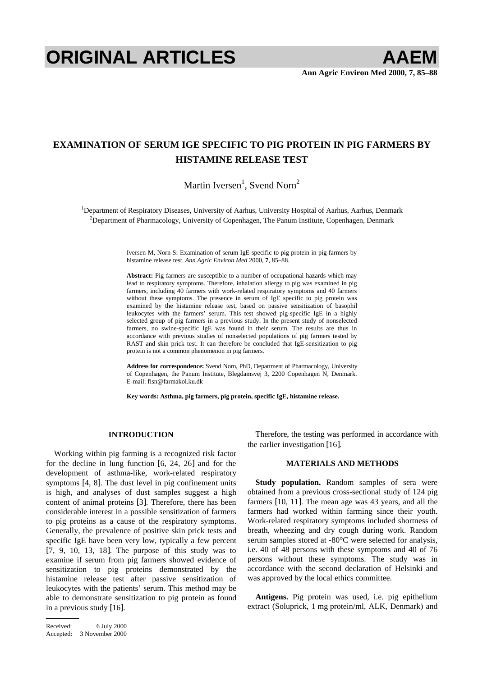# **ORIGINAL ARTICLES AAEM**

## **EXAMINATION OF SERUM IGE SPECIFIC TO PIG PROTEIN IN PIG FARMERS BY HISTAMINE RELEASE TEST**

Martin Iversen<sup>1</sup>, Svend Norn<sup>2</sup>

<sup>1</sup>Department of Respiratory Diseases, University of Aarhus, University Hospital of Aarhus, Aarhus, Denmark 2 Department of Pharmacology, University of Copenhagen, The Panum Institute, Copenhagen, Denmark

> Iversen M, Norn S: Examination of serum IgE specific to pig protein in pig farmers by histamine release test. *Ann Agric Environ Med* 2000, **7**, 85–88.

> **Abstract:** Pig farmers are susceptible to a number of occupational hazards which may lead to respiratory symptoms. Therefore, inhalation allergy to pig was examined in pig farmers, including 40 farmers with work-related respiratory symptoms and 40 farmers without these symptoms. The presence in serum of IgE specific to pig protein was examined by the histamine release test, based on passive sensitization of basophil leukocytes with the farmers' serum. This test showed pig-specific IgE in a highly selected group of pig farmers in a previous study. In the present study of nonselected farmers, no swine-specific IgE was found in their serum. The results are thus in accordance with previous studies of nonselected populations of pig farmers tested by RAST and skin prick test. It can therefore be concluded that IgE-sensitization to pig protein is not a common phenomenon in pig farmers.

> **Address for correspondence:** Svend Norn, PhD, Department of Pharmacology, University of Copenhagen, the Panum Institute, Blegdamsvej 3, 2200 Copenhagen N, Denmark. E-mail: fisn@farmakol.ku.dk

**Key words: Asthma, pig farmers, pig protein, specific IgE, histamine release.** 

### **INTRODUCTION**

Working within pig farming is a recognized risk factor for the decline in lung function [6, 24, 26] and for the development of asthma-like, work-related respiratory symptoms [4, 8]. The dust level in pig confinement units is high, and analyses of dust samples suggest a high content of animal proteins [3]. Therefore, there has been considerable interest in a possible sensitization of farmers to pig proteins as a cause of the respiratory symptoms. Generally, the prevalence of positive skin prick tests and specific IgE have been very low, typically a few percent [7, 9, 10, 13, 18]. The purpose of this study was to examine if serum from pig farmers showed evidence of sensitization to pig proteins demonstrated by the histamine release test after passive sensitization of leukocytes with the patients' serum. This method may be able to demonstrate sensitization to pig protein as found in a previous study [16].

Received: 6 July 2000 Accepted: 3 November 2000

Therefore, the testing was performed in accordance with the earlier investigation [16].

#### **MATERIALS AND METHODS**

**Study population.** Random samples of sera were obtained from a previous cross-sectional study of 124 pig farmers [10, 11]. The mean age was 43 years, and all the farmers had worked within farming since their youth. Work-related respiratory symptoms included shortness of breath, wheezing and dry cough during work. Random serum samples stored at -80°C were selected for analysis, i.e. 40 of 48 persons with these symptoms and 40 of 76 persons without these symptoms. The study was in accordance with the second declaration of Helsinki and was approved by the local ethics committee.

**Antigens.** Pig protein was used, i.e. pig epithelium extract (Soluprick, 1 mg protein/ml, ALK, Denmark) and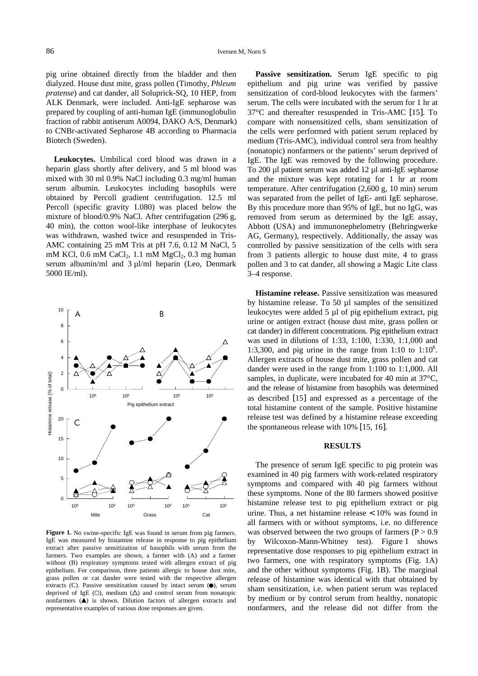pig urine obtained directly from the bladder and then dialyzed. House dust mite, grass pollen (Timothy, *Phleum pratense*) and cat dander, all Soluprick-SQ, 10 HEP, from ALK Denmark, were included. Anti-IgE sepharose was prepared by coupling of anti-human IgE (immunoglobulin fraction of rabbit antiserum A0094, DAKO A/S, Denmark) to CNBr-activated Sepharose 4B according to Pharmacia Biotech (Sweden).

**Leukocytes.** Umbilical cord blood was drawn in a heparin glass shortly after delivery, and 5 ml blood was mixed with 30 ml 0.9% NaCl including 0.3 mg/ml human serum albumin. Leukocytes including basophils were obtained by Percoll gradient centrifugation. 12.5 ml Percoll (specific gravity 1.080) was placed below the mixture of blood/0.9% NaCl. After centrifugation (296 g, 40 min), the cotton wool-like interphase of leukocytes was withdrawn, washed twice and resuspended in Tris-AMC containing 25 mM Tris at pH 7.6, 0.12 M NaCl, 5 mM KCl,  $0.6$  mM CaCl<sub>2</sub>,  $1.1$  mM MgCl<sub>2</sub>,  $0.3$  mg human serum albumin/ml and 3 µl/ml heparin (Leo, Denmark 5000 IE/ml).



**Figure 1.** No swine-specific IgE was found in serum from pig farmers. IgE was measured by histamine release in response to pig epithelium extract after passive sensitization of basophils with serum from the farmers. Two examples are shown, a farmer with (A) and a farmer without (B) respiratory symptoms tested with allergen extract of pig epithelium. For comparison, three patients allergic to house dust mite, grass pollen or cat dander were tested with the respective allergen extracts  $(C)$ . Passive sensitization caused by intact serum  $(①)$ , serum deprived of IgE (O), medium  $(\Delta)$  and control serum from nonatopic nonfarmers  $($   $\blacktriangle)$  is shown. Dilution factors of allergen extracts and representative examples of various dose responses are given.

**Passive sensitization.** Serum IgE specific to pig epithelium and pig urine was verified by passive sensitization of cord-blood leukocytes with the farmers' serum. The cells were incubated with the serum for 1 hr at 37°C and thereafter resuspended in Tris-AMC [15]. To compare with nonsensitized cells, sham sensitization of the cells were performed with patient serum replaced by medium (Tris-AMC), individual control sera from healthy (nonatopic) nonfarmers or the patients' serum deprived of IgE. The IgE was removed by the following procedure. To 200 µl patient serum was added 12 µl anti-IgE sepharose and the mixture was kept rotating for 1 hr at room temperature. After centrifugation (2,600 g, 10 min) serum was separated from the pellet of IgE- anti IgE sepharose. By this procedure more than 95% of IgE, but no IgG, was removed from serum as determined by the IgE assay, Abbott (USA) and immunonephelometry (Behringwerke AG, Germany), respectively. Additionally, the assay was controlled by passive sensitization of the cells with sera from 3 patients allergic to house dust mite, 4 to grass pollen and 3 to cat dander, all showing a Magic Lite class 3–4 response.

**Histamine release.** Passive sensitization was measured by histamine release. To 50 µl samples of the sensitized leukocytes were added 5 µl of pig epithelium extract, pig urine or antigen extract (house dust mite, grass pollen or cat dander) in different concentrations. Pig epithelium extract was used in dilutions of 1:33, 1:100, 1:330, 1:1,000 and 1:3,300, and pig urine in the range from 1:10 to  $1:10^6$ . Allergen extracts of house dust mite, grass pollen and cat dander were used in the range from 1:100 to 1:1,000. All samples, in duplicate, were incubated for 40 min at 37°C, and the release of histamine from basophils was determined as described [15] and expressed as a percentage of the total histamine content of the sample. Positive histamine release test was defined by a histamine release exceeding the spontaneous release with 10% [15, 16].

#### **RESULTS**

The presence of serum IgE specific to pig protein was examined in 40 pig farmers with work-related respiratory symptoms and compared with 40 pig farmers without these symptoms. None of the 80 farmers showed positive histamine release test to pig epithelium extract or pig urine. Thus, a net histamine release < 10% was found in all farmers with or without symptoms, i.e. no difference was observed between the two groups of farmers  $(P > 0.9)$ by Wilcoxon-Mann-Whitney test). Figure 1 shows representative dose responses to pig epithelium extract in two farmers, one with respiratory symptoms (Fig. 1A) and the other without symptoms (Fig. 1B). The marginal release of histamine was identical with that obtained by sham sensitization, i.e. when patient serum was replaced by medium or by control serum from healthy, nonatopic nonfarmers, and the release did not differ from the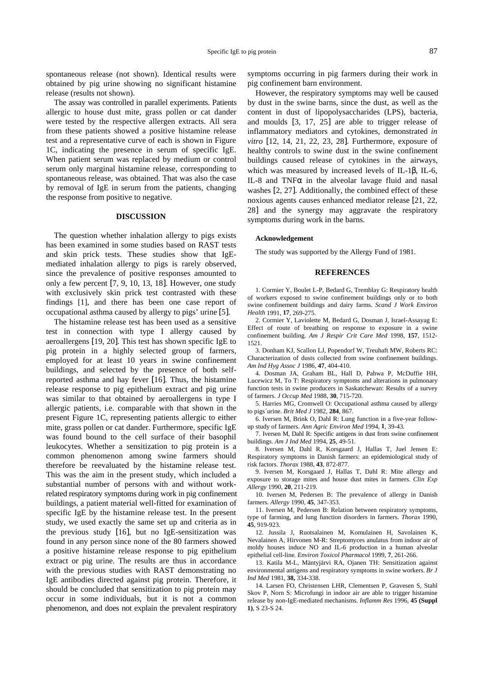spontaneous release (not shown). Identical results were obtained by pig urine showing no significant histamine release (results not shown).

The assay was controlled in parallel experiments. Patients allergic to house dust mite, grass pollen or cat dander were tested by the respective allergen extracts. All sera from these patients showed a positive histamine release test and a representative curve of each is shown in Figure 1C, indicating the presence in serum of specific IgE. When patient serum was replaced by medium or control serum only marginal histamine release, corresponding to spontaneous release, was obtained. That was also the case by removal of IgE in serum from the patients, changing the response from positive to negative.

#### **DISCUSSION**

The question whether inhalation allergy to pigs exists has been examined in some studies based on RAST tests and skin prick tests. These studies show that IgEmediated inhalation allergy to pigs is rarely observed, since the prevalence of positive responses amounted to only a few percent [7, 9, 10, 13, 18]. However, one study with exclusively skin prick test contrasted with these findings [1], and there has been one case report of occupational asthma caused by allergy to pigs' urine [5].

The histamine release test has been used as a sensitive test in connection with type I allergy caused by aeroallergens [19, 20]. This test has shown specific IgE to pig protein in a highly selected group of farmers, employed for at least 10 years in swine confinement buildings, and selected by the presence of both selfreported asthma and hay fever [16]. Thus, the histamine release response to pig epithelium extract and pig urine was similar to that obtained by aeroallergens in type I allergic patients, i.e. comparable with that shown in the present Figure 1C, representing patients allergic to either mite, grass pollen or cat dander. Furthermore, specific IgE was found bound to the cell surface of their basophil leukocytes. Whether a sensitization to pig protein is a common phenomenon among swine farmers should therefore be reevaluated by the histamine release test. This was the aim in the present study, which included a substantial number of persons with and without workrelated respiratory symptoms during work in pig confinement buildings, a patient material well-fitted for examination of specific IgE by the histamine release test. In the present study, we used exactly the same set up and criteria as in the previous study [16], but no IgE-sensitization was found in any person since none of the 80 farmers showed a positive histamine release response to pig epithelium extract or pig urine. The results are thus in accordance with the previous studies with RAST demonstrating no IgE antibodies directed against pig protein. Therefore, it should be concluded that sensitization to pig protein may occur in some individuals, but it is not a common phenomenon, and does not explain the prevalent respiratory symptoms occurring in pig farmers during their work in pig confinement barn environment.

However, the respiratory symptoms may well be caused by dust in the swine barns, since the dust, as well as the content in dust of lipopolysaccharides (LPS), bacteria, and moulds [3, 17, 25] are able to trigger release of inflammatory mediators and cytokines, demonstrated *in vitro* [12, 14, 21, 22, 23, 28]. Furthermore, exposure of healthy controls to swine dust in the swine confinement buildings caused release of cytokines in the airways, which was measured by increased levels of IL-1β, IL-6, IL-8 and TNFα in the alveolar lavage fluid and nasal washes [2, 27]. Additionally, the combined effect of these noxious agents causes enhanced mediator release [21, 22, 28] and the synergy may aggravate the respiratory symptoms during work in the barns.

#### **Acknowledgement**

The study was supported by the Allergy Fund of 1981.

#### **REFERENCES**

1. Cormier Y, Boulet L-P, Bedard G, Tremblay G: Respiratory health of workers exposed to swine confinement buildings only or to both swine confinement buildings and dairy farms. *Scand J Work Environ Health* 1991, **17**, 269-275.

2. Cormier Y, Laviolette M, Bedard G, Dosman J, Israel-Assayag E: Effect of route of breathing on response to exposure in a swine confinement building. *Am J Respir Crit Care Med* 1998, **157**, 1512- 1521.

3. Donham KJ, Scallon LJ, Popendorf W, Treuhaft MW, Roberts RC: Characterization of dusts collected from swine confinement buildings. *Am Ind Hyg Assoc J* 1986, **47**, 404-410.

4. Dosman JA, Graham BL, Hall D, Pahwa P, McDuffie HH, Lucewicz M, To T: Respiratory symptoms and alterations in pulmonary function tests in swine producers in Saskatchewan: Results of a survey of farmers. *J Occup Med* 1988, **30**, 715-720.

5. Harries MG, Cromwell O: Occupational asthma caused by allergy to pigs´urine. *Brit Med J* 1982, **284**, 867.

6. Iversen M, Brink O, Dahl R: Lung function in a five-year followup study of farmers. *Ann Agric Environ Med* 1994, **1**, 39-43.

7. Iversen M, Dahl R: Specific antigens in dust from swine confinement buildings. *Am J Ind Med* 1994, **25**, 49-51.

8. Iversen M, Dahl R, Korsgaard J, Hallas T, Juel Jensen E: Respiratory symptoms in Danish farmers: an epidemiological study of risk factors. *Thorax* 1988, **43**, 872-877.

9. Iversen M, Korsgaard J, Hallas T, Dahl R: Mite allergy and exposure to storage mites and house dust mites in farmers. *Clin Exp Allergy* 1990, **20**, 211-219.

10. Iversen M, Pedersen B: The prevalence of allergy in Danish farmers. *Allergy* 1990, **45**, 347-353.

11. Iversen M, Pedersen B: Relation between respiratory symptoms, type of farming, and lung function disorders in farmers. *Thorax* 1990, **45**, 919-923.

12. Jussila J, Ruotsalainen M, Komulainen H, Savolainen K, Nevalainen A, Hirvonen M-R: Streptomyces anulatus from indoor air of moldy houses induce NO and IL-6 production in a human alveolar epithelial cell-line*. Environ Toxicol Pharmacol* 1999, **7**, 261-266.

13. Katila M-L, Mäntyjärvi RA, Ojanen TH: Sensitization against environmental antigens and respiratory symptoms in swine workers. *Br J Ind Med* 1981, **38,** 334-338.

14. Larsen FO, Christensen LHR, Clementsen P, Gravesen S, Stahl Skov P, Norn S: Microfungi in indoor air are able to trigger histamine release by non-IgE-mediated mechanisms. *Inflamm Res* 1996, **45 (Suppl 1)**, S 23-S 24.